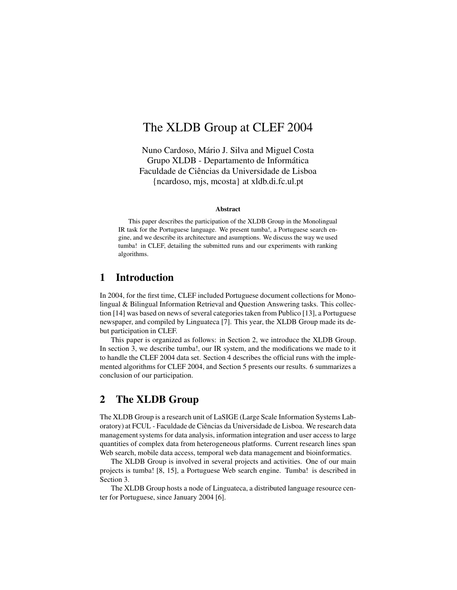# The XLDB Group at CLEF 2004

Nuno Cardoso, Mário J. Silva and Miguel Costa Grupo XLDB - Departamento de Informática Faculdade de Ciências da Universidade de Lisboa {ncardoso, mjs, mcosta} at xldb.di.fc.ul.pt

#### **Abstract**

This paper describes the participation of the XLDB Group in the Monolingual IR task for the Portuguese language. We present tumba!, a Portuguese search engine, and we describe its architecture and asumptions. We discuss the way we used tumba! in CLEF, detailing the submitted runs and our experiments with ranking algorithms.

## **1 Introduction**

In 2004, for the first time, CLEF included Portuguese document collections for Monolingual & Bilingual Information Retrieval and Question Answering tasks. This collection [14] was based on news of several categoriestaken from Publico [13], a Portuguese newspaper, and compiled by Linguateca [7]. This year, the XLDB Group made its debut participation in CLEF.

This paper is organized as follows: in Section 2, we introduce the XLDB Group. In section 3, we describe tumba!, our IR system, and the modifications we made to it to handle the CLEF 2004 data set. Section 4 describes the official runs with the implemented algorithms for CLEF 2004, and Section 5 presents our results. 6 summarizes a conclusion of our participation.

### **2 The XLDB Group**

The XLDB Group is a research unit of LaSIGE (Large Scale Information Systems Laboratory) at FCUL - Faculdade de Ciências da Universidade de Lisboa. We research data management systems for data analysis, information integration and user access to large quantities of complex data from heterogeneous platforms. Current research lines span Web search, mobile data access, temporal web data management and bioinformatics.

The XLDB Group is involved in several projects and activities. One of our main projects is tumba! [8, 15], a Portuguese Web search engine. Tumba! is described in Section 3.

The XLDB Group hosts a node of Linguateca, a distributed language resource center for Portuguese, since January 2004 [6].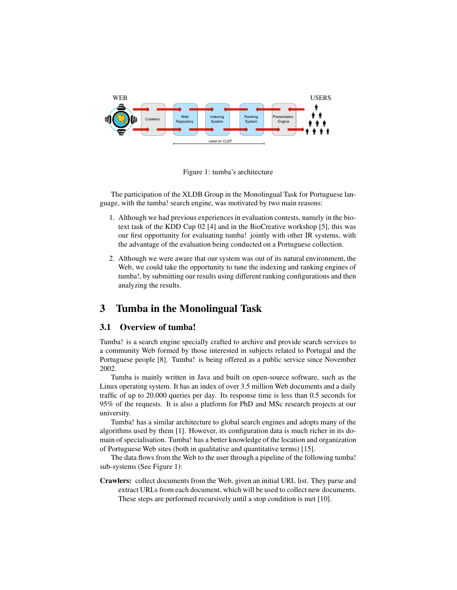

Figure 1: tumba's architecture

The participation of the XLDB Group in the Monolingual Task for Portuguese language, with the tumba! search engine, was motivated by two main reasons:

- 1. Although we had previous experiences in evaluation contests, namely in the biotext task of the KDD Cup 02 [4] and in the BioCreative workshop [5], this was our first opportunity for evaluating tumba! jointly with other IR systems, with the advantage of the evaluation being conducted on a Portuguese collection.
- 2. Although we were aware that our system was out of its natural environment, the Web, we could take the opportunity to tune the indexing and ranking engines of tumba!, by submitting our results using different ranking configurations and then analyzing the results.

# **3 Tumba in the Monolingual Task**

#### **3.1 Overview of tumba!**

Tumba! is a search engine specially crafted to archive and provide search services to a community Web formed by those interested in subjects related to Portugal and the Portuguese people [8]. Tumba! is being offered as a public service since November 2002.

Tumba is mainly written in Java and built on open-source software, such as the Linux operating system. It has an index of over 3.5 million Web documents and a daily traffic of up to 20.000 queries per day. Its response time is less than 0.5 seconds for 95% of the requests. It is also a platform for PhD and MSc research projects at our university.

Tumba! has a similar architecture to global search engines and adopts many of the algorithms used by them [1]. However, its configuration data is much richer in its domain of specialisation. Tumba! has a better knowledge of the location and organization of Portuguese Web sites (both in qualitative and quantitative terms) [15].

The data flows from the Web to the user through a pipeline of the following tumba! sub-systems (See Figure 1):

**Crawlers:** collect documents from the Web, given an initial URL list. They parse and extract URLs from each document, which will be used to collect new documents. These steps are performed recursively until a stop condition is met [10].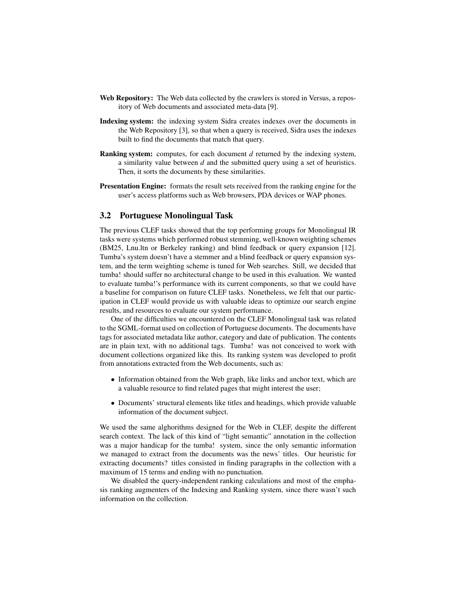- **Web Repository:** The Web data collected by the crawlers is stored in Versus, a repository of Web documents and associated meta-data [9].
- **Indexing system:** the indexing system Sidra creates indexes over the documents in the Web Repository [3], so that when a query is received, Sidra uses the indexes built to find the documents that match that query.
- **Ranking system:** computes, for each document *d* returned by the indexing system, a similarity value between *d* and the submitted query using a set of heuristics. Then, it sorts the documents by these similarities.
- **Presentation Engine:** formats the result sets received from the ranking engine for the user's access platforms such as Web browsers, PDA devices or WAP phones.

#### **3.2 Portuguese Monolingual Task**

The previous CLEF tasks showed that the top performing groups for Monolingual IR tasks were systems which performed robust stemming, well-known weighting schemes (BM25, Lnu.ltn or Berkeley ranking) and blind feedback or query expansion [12]. Tumba's system doesn't have a stemmer and a blind feedback or query expansion system, and the term weighting scheme is tuned for Web searches. Still, we decided that tumba! should suffer no architectural change to be used in this evaluation. We wanted to evaluate tumba!'s performance with its current components, so that we could have a baseline for comparison on future CLEF tasks. Nonetheless, we felt that our participation in CLEF would provide us with valuable ideas to optimize our search engine results, and resources to evaluate our system performance.

One of the difficulties we encountered on the CLEF Monolingual task was related to the SGML-format used on collection of Portuguese documents. The documents have tags for associated metadata like author, category and date of publication. The contents are in plain text, with no additional tags. Tumba! was not conceived to work with document collections organized like this. Its ranking system was developed to profit from annotations extracted from the Web documents, such as:

- Information obtained from the Web graph, like links and anchor text, which are a valuable resource to find related pages that might interest the user;
- Documents' structural elements like titles and headings, which provide valuable information of the document subject.

We used the same alghorithms designed for the Web in CLEF, despite the different search context. The lack of this kind of "light semantic" annotation in the collection was a major handicap for the tumba! system, since the only semantic information we managed to extract from the documents was the news' titles. Our heuristic for extracting documents? titles consisted in finding paragraphs in the collection with a maximum of 15 terms and ending with no punctuation.

We disabled the query-independent ranking calculations and most of the emphasis ranking augmenters of the Indexing and Ranking system, since there wasn't such information on the collection.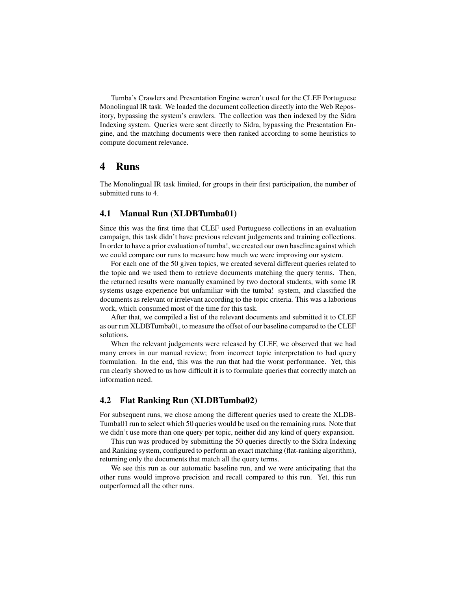Tumba's Crawlers and Presentation Engine weren't used for the CLEF Portuguese Monolingual IR task. We loaded the document collection directly into the Web Repository, bypassing the system's crawlers. The collection was then indexed by the Sidra Indexing system. Queries were sent directly to Sidra, bypassing the Presentation Engine, and the matching documents were then ranked according to some heuristics to compute document relevance.

### **4 Runs**

The Monolingual IR task limited, for groups in their first participation, the number of submitted runs to 4.

#### **4.1 Manual Run (XLDBTumba01)**

Since this was the first time that CLEF used Portuguese collections in an evaluation campaign, this task didn't have previous relevant judgements and training collections. In order to have a prior evaluation of tumba!, we created our own baseline against which we could compare our runs to measure how much we were improving our system.

For each one of the 50 given topics, we created several different queries related to the topic and we used them to retrieve documents matching the query terms. Then, the returned results were manually examined by two doctoral students, with some IR systems usage experience but unfamiliar with the tumba! system, and classified the documents as relevant or irrelevant according to the topic criteria. This was a laborious work, which consumed most of the time for this task.

After that, we compiled a list of the relevant documents and submitted it to CLEF as our run XLDBTumba01, to measure the offset of our baseline compared to the CLEF solutions.

When the relevant judgements were released by CLEF, we observed that we had many errors in our manual review; from incorrect topic interpretation to bad query formulation. In the end, this was the run that had the worst performance. Yet, this run clearly showed to us how difficult it is to formulate queries that correctly match an information need.

#### **4.2 Flat Ranking Run (XLDBTumba02)**

For subsequent runs, we chose among the different queries used to create the XLDB-Tumba01 run to select which 50 queries would be used on the remaining runs. Note that we didn't use more than one query per topic, neither did any kind of query expansion.

This run was produced by submitting the 50 queries directly to the Sidra Indexing and Ranking system, configured to perform an exact matching (flat-ranking algorithm), returning only the documents that match all the query terms.

We see this run as our automatic baseline run, and we were anticipating that the other runs would improve precision and recall compared to this run. Yet, this run outperformed all the other runs.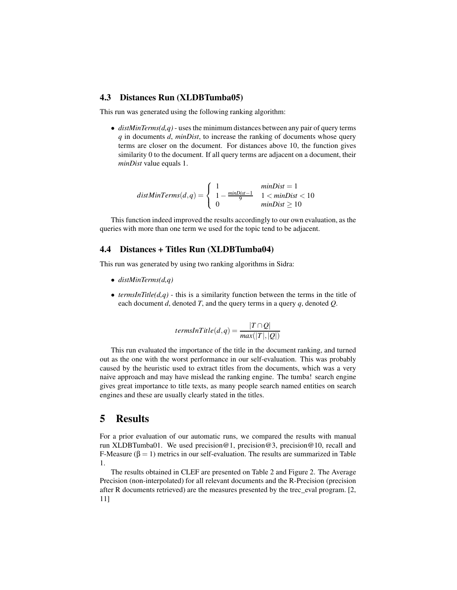#### **4.3 Distances Run (XLDBTumba05)**

This run was generated using the following ranking algorithm:

 $\bullet$  *distMinTerms(d,q)* - uses the minimum distances between any pair of query terms *q* in documents *d*, *minDist*, to increase the ranking of documents whose query terms are closer on the document. For distances above 10, the function gives similarity 0 to the document. If all query terms are adjacent on a document, their *minDist* value equals 1.

$$
distMinTerms(d, q) = \begin{cases} 1 & minDist = 1\\ 1 - \frac{minDist - 1}{9} & 1 < minDist < 10\\ 0 & minDist \ge 10 \end{cases}
$$

This function indeed improved the results accordingly to our own evaluation, as the queries with more than one term we used for the topic tend to be adjacent.

### **4.4 Distances + Titles Run (XLDBTumba04)**

This run was generated by using two ranking algorithms in Sidra:

- *distMinTerms(d,q)*
- *termsInTitle(d,q)* this is a similarity function between the terms in the title of each document *d*, denoted *T*, and the query terms in a query *q*, denoted *Q*.

$$
termsInTitle(d,q) = \frac{|T \cap Q|}{max(|T|, |Q|)}
$$

This run evaluated the importance of the title in the document ranking, and turned out as the one with the worst performance in our self-evaluation. This was probably caused by the heuristic used to extract titles from the documents, which was a very naive approach and may have mislead the ranking engine. The tumba! search engine gives great importance to title texts, as many people search named entities on search engines and these are usually clearly stated in the titles.

# **5 Results**

For a prior evaluation of our automatic runs, we compared the results with manual run XLDBTumba01. We used precision@1, precision@3, precision@10, recall and F-Measure ( $\beta = 1$ ) metrics in our self-evaluation. The results are summarized in Table 1.

The results obtained in CLEF are presented on Table 2 and Figure 2. The Average Precision (non-interpolated) for all relevant documents and the R-Precision (precision after R documents retrieved) are the measures presented by the trec\_eval program. [2, 11]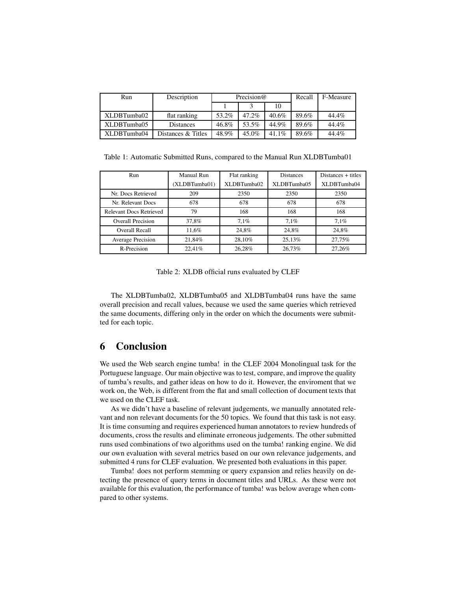| Run         | Description        | Precision $@$ |       |          | Recall | F-Measure |
|-------------|--------------------|---------------|-------|----------|--------|-----------|
|             |                    |               |       | 10       |        |           |
| XLDBTumba02 | flat ranking       | 53.2%         | 47.2% | $40.6\%$ | 89.6%  | 44.4%     |
| XLDBTumba05 | Distances          | 46.8%         | 53.5% | 44.9%    | 89.6%  | 44.4%     |
| XLDBTumba04 | Distances & Titles | 48.9%         | 45.0% | 41.1%    | 89.6%  | 44.4%     |

Table 1: Automatic Submitted Runs, compared to the Manual Run XLDBTumba01

| Run                            | Manual Run    | Flat ranking | <b>Distances</b> | Distances + titles |  |
|--------------------------------|---------------|--------------|------------------|--------------------|--|
|                                | (XLDBTumba01) | XLDBTumba02  | XLDBTumba05      | XLDBTumba04        |  |
| Nr. Docs Retrieved             | 209           | 2350         | 2350             | 2350               |  |
| Nr. Relevant Docs              | 678           | 678          | 678              | 678                |  |
| <b>Relevant Docs Retrieved</b> | 79            | 168          | 168              | 168                |  |
| Overall Precision              | 37,8%         | 7.1%         | 7.1%             | 7.1%               |  |
| Overall Recall                 | 11.6%         | 24.8%        | 24.8%            | 24.8%              |  |
| Average Precision              | 21.84%        | 28.10%       | 25.13%           | 27.75%             |  |
| R-Precision                    | 22.41%        | 26.28%       | 26,73%           | 27,26%             |  |

Table 2: XLDB official runs evaluated by CLEF

The XLDBTumba02, XLDBTumba05 and XLDBTumba04 runs have the same overall precision and recall values, because we used the same queries which retrieved the same documents, differing only in the order on which the documents were submitted for each topic.

### **6 Conclusion**

We used the Web search engine tumba! in the CLEF 2004 Monolingual task for the Portuguese language. Our main objective was to test, compare, and improve the quality of tumba's results, and gather ideas on how to do it. However, the enviroment that we work on, the Web, is different from the flat and small collection of document texts that we used on the CLEF task.

As we didn't have a baseline of relevant judgements, we manually annotated relevant and non relevant documents for the 50 topics. We found that this task is not easy. It is time consuming and requires experienced human annotators to review hundreds of documents, cross the results and eliminate erroneous judgements. The other submitted runs used combinations of two algorithms used on the tumba! ranking engine. We did our own evaluation with several metrics based on our own relevance judgements, and submitted 4 runs for CLEF evaluation. We presented both evaluations in this paper.

Tumba! does not perform stemming or query expansion and relies heavily on detecting the presence of query terms in document titles and URLs. As these were not available for this evaluation, the performance of tumba! was below average when compared to other systems.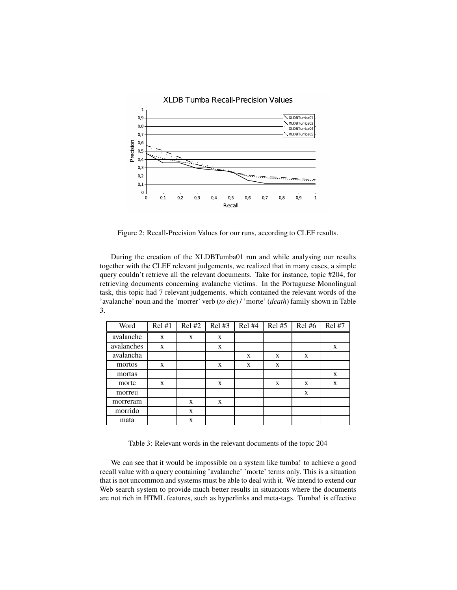

Figure 2: Recall-Precision Values for our runs, according to CLEF results.

During the creation of the XLDBTumba01 run and while analysing our results together with the CLEF relevant judgements, we realized that in many cases, a simple query couldn't retrieve all the relevant documents. Take for instance, topic #204, for retrieving documents concerning avalanche victims. In the Portuguese Monolingual task, this topic had 7 relevant judgements, which contained the relevant words of the 'avalanche' noun and the 'morrer' verb (*to die*) / 'morte' (*death*) family shown in Table 3.

| Word       | Rel#1 | Rel #2 | Rel#3 | Rel#4 | Rel#5 | Rel#6 | Rel #7 |
|------------|-------|--------|-------|-------|-------|-------|--------|
| avalanche  | X     | X      | X     |       |       |       |        |
| avalanches | X     |        | X     |       |       |       | X      |
| avalancha  |       |        |       | X     | X     | X     |        |
| mortos     | X     |        | X     | X     | X     |       |        |
| mortas     |       |        |       |       |       |       | X      |
| morte      | X     |        | X     |       | X     | X     | X      |
| morreu     |       |        |       |       |       | X     |        |
| morreram   |       | X      | X     |       |       |       |        |
| morrido    |       | X      |       |       |       |       |        |
| mata       |       | X      |       |       |       |       |        |

Table 3: Relevant words in the relevant documents of the topic 204

We can see that it would be impossible on a system like tumba! to achieve a good recall value with a query containing 'avalanche' 'morte' terms only. This is a situation that is not uncommon and systems must be able to deal with it. We intend to extend our Web search system to provide much better results in situations where the documents are not rich in HTML features, such as hyperlinks and meta-tags. Tumba! is effective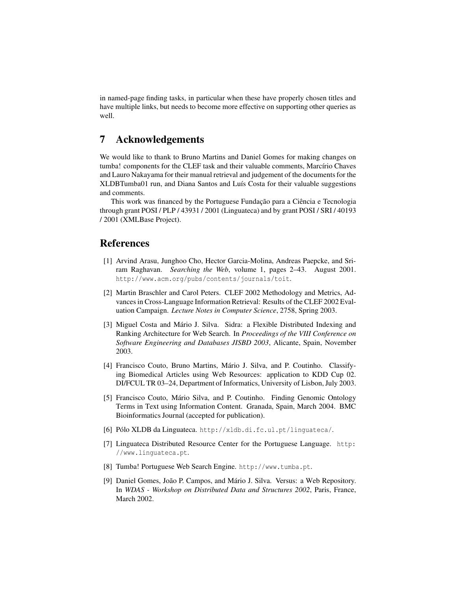in named-page finding tasks, in particular when these have properly chosen titles and have multiple links, but needs to become more effective on supporting other queries as well.

## **7 Acknowledgements**

We would like to thank to Bruno Martins and Daniel Gomes for making changes on tumba! components for the CLEF task and their valuable comments, Marcírio Chaves and Lauro Nakayama for their manual retrieval and judgement of the documentsfor the XLDBTumba01 run, and Diana Santos and Luís Costa for their valuable suggestions and comments.

This work was financed by the Portuguese Fundação para a Ciência e Tecnologia through grant POSI / PLP / 43931 / 2001 (Linguateca) and by grant POSI / SRI / 40193 / 2001 (XMLBase Project).

# **References**

- [1] Arvind Arasu, Junghoo Cho, Hector Garcia-Molina, Andreas Paepcke, and Sriram Raghavan. *Searching the Web*, volume 1, pages 2–43. August 2001. http://www.acm.org/pubs/contents/journals/toit.
- [2] Martin Braschler and Carol Peters. CLEF 2002 Methodology and Metrics, Advances in Cross-Language Information Retrieval: Results of the CLEF 2002 Evaluation Campaign. *Lecture Notes in Computer Science*, 2758, Spring 2003.
- [3] Miguel Costa and Mário J. Silva. Sidra: a Flexible Distributed Indexing and Ranking Architecture for Web Search. In *Proceedings of the VIII Conference on Software Engineering and Databases JISBD 2003*, Alicante, Spain, November 2003.
- [4] Francisco Couto, Bruno Martins, Mário J. Silva, and P. Coutinho. Classifying Biomedical Articles using Web Resources: application to KDD Cup 02. DI/FCUL TR 03–24, Department of Informatics, University of Lisbon, July 2003.
- [5] Francisco Couto, Mário Silva, and P. Coutinho. Finding Genomic Ontology Terms in Text using Information Content. Granada, Spain, March 2004. BMC Bioinformatics Journal (accepted for publication).
- [6] Pólo XLDB da Linguateca. http://xldb.di.fc.ul.pt/linguateca/.
- [7] Linguateca Distributed Resource Center for the Portuguese Language. http: //www.linguateca.pt.
- [8] Tumba! Portuguese Web Search Engine. http://www.tumba.pt.
- [9] Daniel Gomes, João P. Campos, and Mário J. Silva. Versus: a Web Repository. In *WDAS - Workshop on Distributed Data and Structures 2002*, Paris, France, March 2002.